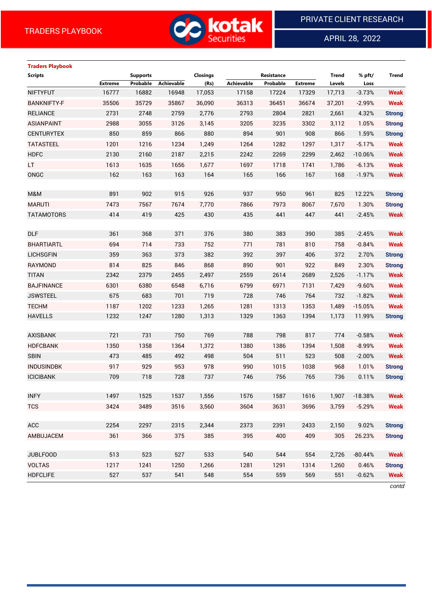

APRIL 28, 2022

 $\overline{a}$ 

# **Traders Playbook Scripts Supports Closings Resistance Trend % pft/ Trend**

|                    | <b>Extreme</b> | Probable | Achievable | (Rs)   | Achievable | Probable | <b>Extreme</b> | Levels | Loss      |               |
|--------------------|----------------|----------|------------|--------|------------|----------|----------------|--------|-----------|---------------|
| <b>NIFTYFUT</b>    | 16777          | 16882    | 16948      | 17,053 | 17158      | 17224    | 17329          | 17,713 | $-3.73%$  | <b>Weak</b>   |
| <b>BANKNIFTY-F</b> | 35506          | 35729    | 35867      | 36,090 | 36313      | 36451    | 36674          | 37,201 | $-2.99%$  | <b>Weak</b>   |
| <b>RELIANCE</b>    | 2731           | 2748     | 2759       | 2,776  | 2793       | 2804     | 2821           | 2,661  | 4.32%     | <b>Strong</b> |
| <b>ASIANPAINT</b>  | 2988           | 3055     | 3126       | 3,145  | 3205       | 3235     | 3302           | 3,112  | 1.05%     | <b>Strong</b> |
| <b>CENTURYTEX</b>  | 850            | 859      | 866        | 880    | 894        | 901      | 908            | 866    | 1.59%     | <b>Strong</b> |
| <b>TATASTEEL</b>   | 1201           | 1216     | 1234       | 1,249  | 1264       | 1282     | 1297           | 1,317  | $-5.17%$  | <b>Weak</b>   |
| <b>HDFC</b>        | 2130           | 2160     | 2187       | 2,215  | 2242       | 2269     | 2299           | 2,462  | $-10.06%$ | <b>Weak</b>   |
| LT.                | 1613           | 1635     | 1656       | 1,677  | 1697       | 1718     | 1741           | 1,786  | $-6.13%$  | <b>Weak</b>   |
| ONGC               | 162            | 163      | 163        | 164    | 165        | 166      | 167            | 168    | $-1.97%$  | <b>Weak</b>   |
|                    |                |          |            |        |            |          |                |        |           |               |
| M&M                | 891            | 902      | 915        | 926    | 937        | 950      | 961            | 825    | 12.22%    | <b>Strong</b> |
| <b>MARUTI</b>      | 7473           | 7567     | 7674       | 7,770  | 7866       | 7973     | 8067           | 7,670  | 1.30%     | <b>Strong</b> |
| <b>TATAMOTORS</b>  | 414            | 419      | 425        | 430    | 435        | 441      | 447            | 441    | $-2.45%$  | <b>Weak</b>   |
|                    |                |          |            |        |            |          |                |        |           |               |
| <b>DLF</b>         | 361            | 368      | 371        | 376    | 380        | 383      | 390            | 385    | $-2.45%$  | <b>Weak</b>   |
| <b>BHARTIARTL</b>  | 694            | 714      | 733        | 752    | 771        | 781      | 810            | 758    | $-0.84%$  | <b>Weak</b>   |
| <b>LICHSGFIN</b>   | 359            | 363      | 373        | 382    | 392        | 397      | 406            | 372    | 2.70%     | <b>Strong</b> |
| <b>RAYMOND</b>     | 814            | 825      | 846        | 868    | 890        | 901      | 922            | 849    | 2.30%     | <b>Strong</b> |
| <b>TITAN</b>       | 2342           | 2379     | 2455       | 2,497  | 2559       | 2614     | 2689           | 2,526  | $-1.17%$  | <b>Weak</b>   |
| <b>BAJFINANCE</b>  | 6301           | 6380     | 6548       | 6,716  | 6799       | 6971     | 7131           | 7,429  | $-9.60%$  | <b>Weak</b>   |
| <b>JSWSTEEL</b>    | 675            | 683      | 701        | 719    | 728        | 746      | 764            | 732    | $-1.82%$  | <b>Weak</b>   |
| <b>TECHM</b>       | 1187           | 1202     | 1233       | 1,265  | 1281       | 1313     | 1353           | 1,489  | $-15.05%$ | <b>Weak</b>   |
| <b>HAVELLS</b>     | 1232           | 1247     | 1280       | 1,313  | 1329       | 1363     | 1394           | 1,173  | 11.99%    | <b>Strong</b> |
|                    |                |          |            |        |            |          |                |        |           |               |
| <b>AXISBANK</b>    | 721            | 731      | 750        | 769    | 788        | 798      | 817            | 774    | $-0.58%$  | <b>Weak</b>   |
| <b>HDFCBANK</b>    | 1350           | 1358     | 1364       | 1,372  | 1380       | 1386     | 1394           | 1,508  | $-8.99%$  | <b>Weak</b>   |
| <b>SBIN</b>        | 473            | 485      | 492        | 498    | 504        | 511      | 523            | 508    | $-2.00%$  | <b>Weak</b>   |
| <b>INDUSINDBK</b>  | 917            | 929      | 953        | 978    | 990        | 1015     | 1038           | 968    | 1.01%     | <b>Strong</b> |
| <b>ICICIBANK</b>   | 709            | 718      | 728        | 737    | 746        | 756      | 765            | 736    | 0.11%     | <b>Strong</b> |
|                    |                |          |            |        |            |          |                |        |           |               |
| <b>INFY</b>        | 1497           | 1525     | 1537       | 1,556  | 1576       | 1587     | 1616           | 1,907  | $-18.38%$ | <b>Weak</b>   |
| <b>TCS</b>         | 3424           | 3489     | 3516       | 3,560  | 3604       | 3631     | 3696           | 3,759  | $-5.29%$  | Weak          |
|                    |                |          |            |        |            |          |                |        |           |               |
| ACC                | 2254           | 2297     | 2315       | 2,344  | 2373       | 2391     | 2433           | 2,150  | 9.02%     | <b>Strong</b> |
| AMBUJACEM          | 361            | 366      | 375        | 385    | 395        | 400      | 409            | 305    | 26.23%    | <b>Strong</b> |
|                    |                |          |            |        |            |          |                |        |           |               |
| <b>JUBLFOOD</b>    | 513            | 523      | 527        | 533    | 540        | 544      | 554            | 2,726  | $-80.44%$ | <b>Weak</b>   |
| <b>VOLTAS</b>      | 1217           | 1241     | 1250       | 1,266  | 1281       | 1291     | 1314           | 1,260  | 0.46%     | <b>Strong</b> |
| <b>HDFCLIFE</b>    | 527            | 537      | 541        | 548    | 554        | 559      | 569            | 551    | $-0.62%$  | <b>Weak</b>   |
|                    |                |          |            |        |            |          |                |        |           | contd         |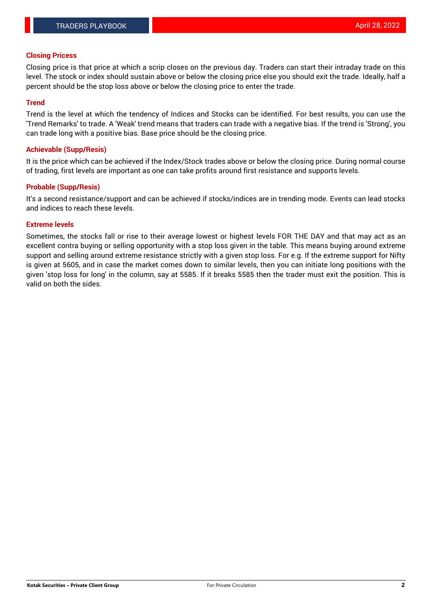#### **Closing Pricess**

Closing price is that price at which a scrip closes on the previous day. Traders can start their intraday trade on this level. The stock or index should sustain above or below the closing price else you should exit the trade. Ideally, half a percent should be the stop loss above or below the closing price to enter the trade.

### **Trend**

Trend is the level at which the tendency of Indices and Stocks can be identified. For best results, you can use the 'Trend Remarks' to trade. A 'Weak' trend means that traders can trade with a negative bias. If the trend is 'Strong', you can trade long with a positive bias. Base price should be the closing price.

#### **Achievable (Supp/Resis)**

It is the price which can be achieved if the Index/Stock trades above or below the closing price. During normal course of trading, first levels are important as one can take profits around first resistance and supports levels.

## **Probable (Supp/Resis)**

It's a second resistance/support and can be achieved if stocks/indices are in trending mode. Events can lead stocks and indices to reach these levels.

#### **Extreme levels**

Sometimes, the stocks fall or rise to their average lowest or highest levels FOR THE DAY and that may act as an excellent contra buying or selling opportunity with a stop loss given in the table. This means buying around extreme support and selling around extreme resistance strictly with a given stop loss. For e.g. If the extreme support for Nifty is given at 5605, and in case the market comes down to similar levels, then you can initiate long positions with the given 'stop loss for long' in the column, say at 5585. If it breaks 5585 then the trader must exit the position. This is valid on both the sides.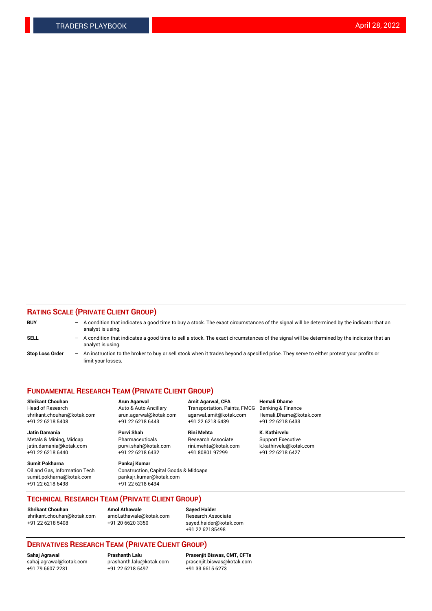## **RATING SCALE (PRIVATE CLIENT GROUP)**

| <b>BUY</b>             | -                 | A condition that indicates a good time to buy a stock. The exact circumstances of the signal will be determined by the indicator that an<br>analyst is using.  |
|------------------------|-------------------|----------------------------------------------------------------------------------------------------------------------------------------------------------------|
| SELL                   | -                 | A condition that indicates a good time to sell a stock. The exact circumstances of the signal will be determined by the indicator that an<br>analyst is using. |
| <b>Stop Loss Order</b> | $\qquad \qquad -$ | An instruction to the broker to buy or sell stock when it trades beyond a specified price. They serve to either protect your profits or<br>limit your losses.  |

#### **FUNDAMENTAL RESEARCH TEAM (PRIVATE CLIENT GROUP)**

**Shrikant Chouhan Arun Agarwal Amit Agarwal, CFA Hemali Dhame** Head of Research Auto & Auto Ancillary Transportation, Paints, FMCG Banking & Finance shrikant.chouhan@kotak.com arun.agarwal@kotak.com agarwal.amit@kotak.com Hemali.Dhame@kotak.com

**Jatin Damania Purvi Shah Rini Mehta K. Kathirvelu** Metals & Mining, Midcap **Pharmaceuticals** Research Associate Support Executive jatin.damania@kotak.com [purvi.shah@kotak.com](mailto:purvi.shah@kotak.com) rini.mehta@kotak.com [k.kathirvelu@kotak.com](mailto:k.kathirvelu@kotak.com)  $+91$  22 6218 6440  $+91$  22 6218 6432

**Sumit Pokharna Pankaj Kumar** sumit.pokharna@kotak.com pankajr.kumar@kotak.com +91 22 6218 6438 +91 22 6218 6434

Oil and Gas, Information Tech Construction, Capital Goods & Midcaps

+91 22 6218 5408 +91 22 6218 6443 +91 22 6218 6439 +91 22 6218 6433

**TECHNICAL RESEARCH TEAM (PRIVATE CLIENT GROUP)**

[shrikant.chouhan@kotak.com](mailto:shrikant.chouhan@kotak.com) [amol.athawale@kotak.com](mailto:amol.athawale@kotak.com) Research Associate +91 22 6218 5408 +91 20 6620 3350 [sayed.haider@kotak.com](mailto:sayed.haider@kotak.com)

**Shrikant Chouhan Amol Athawale Sayed Haider**

+91 22 62185498

# **DERIVATIVES RESEARCH TEAM (PRIVATE CLIENT GROUP)**

 $+91$  22 6218 5497

**Sahaj Agrawal Prashanth Lalu Prasenjit Biswas, CMT, CFTe** [sahaj.agrawal@kotak.com](mailto:sahaj.agrawal@kotak.com) [prashanth.lalu@kotak.com](mailto:prashanth.lalu@kotak.com) [prasenjit.biswas@kotak.com](mailto:prasenjit.biswas@kotak.com)